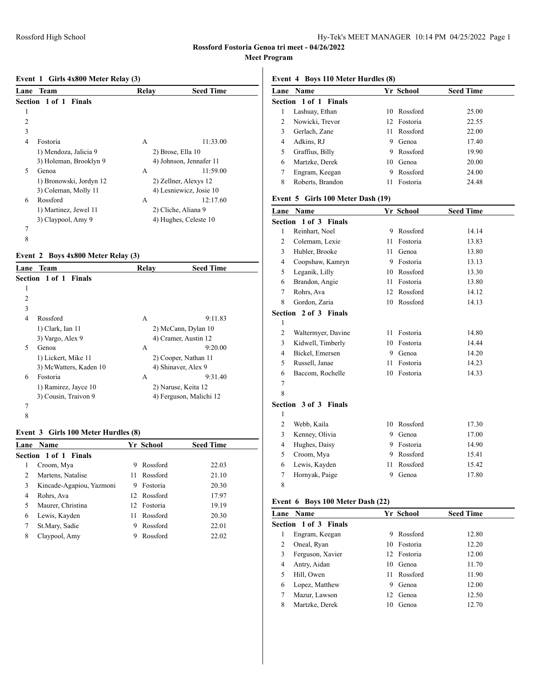#### **Event 1 Girls 4x800 Meter Relay (3)**

| Lane | Team                         | Relay | <b>Seed Time</b>        |  |
|------|------------------------------|-------|-------------------------|--|
|      | <b>Section 1 of 1 Finals</b> |       |                         |  |
| 1    |                              |       |                         |  |
| 2    |                              |       |                         |  |
| 3    |                              |       |                         |  |
| 4    | Fostoria                     | А     | 11:33.00                |  |
|      | 1) Mendoza, Jalicia 9        |       | 2) Brose, Ella 10       |  |
|      | 3) Holeman, Brooklyn 9       |       | 4) Johnson, Jennafer 11 |  |
| 5    | Genoa                        | A     | 11:59.00                |  |
|      | 1) Bronowski, Jordyn 12      |       | 2) Zellner, Alexys 12   |  |
|      | 3) Coleman, Molly 11         |       | 4) Lesniewicz, Josie 10 |  |
| 6    | Rossford                     | А     | 12:17.60                |  |
|      | 1) Martinez, Jewel 11        |       | 2) Cliche, Aliana 9     |  |
|      | 3) Claypool, Amy 9           |       | 4) Hughes, Celeste 10   |  |
| 7    |                              |       |                         |  |
| 8    |                              |       |                         |  |

# **Event 2 Boys 4x800 Meter Relay (3)**

| Lane           | Team                   | Relay | <b>Seed Time</b>        |
|----------------|------------------------|-------|-------------------------|
|                | Section 1 of 1 Finals  |       |                         |
| 1              |                        |       |                         |
| $\overline{c}$ |                        |       |                         |
| 3              |                        |       |                         |
| 4              | Rossford               | А     | 9:11.83                 |
|                | 1) Clark, Ian 11       |       | 2) McCann, Dylan 10     |
|                | 3) Vargo, Alex 9       |       | 4) Cramer, Austin 12    |
| 5              | Genoa                  | A     | 9:20.00                 |
|                | 1) Lickert, Mike 11    |       | 2) Cooper, Nathan 11    |
|                | 3) McWatters, Kaden 10 |       | 4) Shinaver, Alex 9     |
| 6              | Fostoria               | A     | 9:31.40                 |
|                | 1) Ramirez, Jayce 10   |       | 2) Naruse, Keita 12     |
|                | 3) Cousin, Traivon 9   |       | 4) Ferguson, Malichi 12 |
| 7              |                        |       |                         |
| 8              |                        |       |                         |

### **Event 3 Girls 100 Meter Hurdles (8)**

|                | <b>Lane Name</b>             |    | Yr School   | <b>Seed Time</b> |  |
|----------------|------------------------------|----|-------------|------------------|--|
|                | <b>Section 1 of 1 Finals</b> |    |             |                  |  |
|                | Croom, Mya                   | 9  | Rossford    | 22.03            |  |
| $\mathfrak{D}$ | Martens, Natalise            | 11 | Rossford    | 21.10            |  |
| 3              | Kincade-Agapiou, Yazmoni     | 9  | Fostoria    | 20.30            |  |
| 4              | Rohrs, Ava                   |    | 12 Rossford | 17.97            |  |
|                | Maurer, Christina            |    | 12 Fostoria | 19.19            |  |
| 6              | Lewis, Kayden                | 11 | Rossford    | 20.30            |  |
| 7              | St.Mary, Sadie               | 9  | Rossford    | 22.01            |  |
| 8              | Claypool, Amy                | 9  | Rossford    | 22.02            |  |
|                |                              |    |             |                  |  |

### **Event 4 Boys 110 Meter Hurdles (8)**

|   | <b>Lane Name</b>      |    | Yr School   | <b>Seed Time</b> |
|---|-----------------------|----|-------------|------------------|
|   | Section 1 of 1 Finals |    |             |                  |
|   | Lashuay, Ethan        | 10 | Rossford    | 25.00            |
| 2 | Nowicki, Trevor       |    | 12 Fostoria | 22.55            |
| 3 | Gerlach, Zane         | 11 | Rossford    | 22.00            |
| 4 | Adkins, RJ            | 9  | Genoa       | 17.40            |
| 5 | Graffius, Billy       | 9  | Rossford    | 19.90            |
| 6 | Martzke, Derek        | 10 | Genoa       | 20.00            |
|   | Engram, Keegan        | 9  | Rossford    | 24.00            |
| 8 | Roberts, Brandon      | 11 | Fostoria    | 24.48            |

#### **Event 5 Girls 100 Meter Dash (19)**

| Lane           | Name                  |    | Yr School | <b>Seed Time</b> |
|----------------|-----------------------|----|-----------|------------------|
|                | Section 1 of 3 Finals |    |           |                  |
| 1              | Reinhart, Noel        | 9  | Rossford  | 14.14            |
| $\overline{2}$ | Colemam, Lexie        | 11 | Fostoria  | 13.83            |
| 3              | Hubler, Brooke        | 11 | Genoa     | 13.80            |
| $\overline{4}$ | Coopshaw, Kamryn      | 9  | Fostoria  | 13.13            |
| 5              | Leganik, Lilly        | 10 | Rossford  | 13.30            |
| 6              | Brandon, Angie        | 11 | Fostoria  | 13.80            |
| 7              | Rohrs, Ava            | 12 | Rossford  | 14.12            |
| 8              | Gordon, Zaria         | 10 | Rossford  | 14.13            |
|                | Section 2 of 3 Finals |    |           |                  |
| 1              |                       |    |           |                  |
| $\overline{c}$ | Waltermyer, Davine    | 11 | Fostoria  | 14.80            |
| 3              | Kidwell, Timberly     | 10 | Fostoria  | 14.44            |
| 4              | Bickel, Emersen       | 9  | Genoa     | 14.20            |
| 5              | Russell, Janae        | 11 | Fostoria  | 14.23            |
| 6              | Baccom, Rochelle      | 10 | Fostoria  | 14.33            |
| 7              |                       |    |           |                  |
| 8              |                       |    |           |                  |
|                | Section 3 of 3 Finals |    |           |                  |
| 1              |                       |    |           |                  |
| 2              | Webb, Kaila           | 10 | Rossford  | 17.30            |
| 3              | Kenney, Olivia        | 9  | Genoa     | 17.00            |
| $\overline{4}$ | Hughes, Daisy         | 9  | Fostoria  | 14.90            |
| 5              | Croom, Mya            | 9  | Rossford  | 15.41            |
| 6              | Lewis, Kayden         | 11 | Rossford  | 15.42            |
| 7              | Hornyak, Paige        | 9  | Genoa     | 17.80            |
| 8              |                       |    |           |                  |

#### **Event 6 Boys 100 Meter Dash (22)**

|   | Lane Name                    |    | Yr School   | <b>Seed Time</b> |
|---|------------------------------|----|-------------|------------------|
|   | <b>Section 1 of 3 Finals</b> |    |             |                  |
|   | Engram, Keegan               | 9  | Rossford    | 12.80            |
|   | Oneal, Ryan                  |    | 10 Fostoria | 12.20            |
| 3 | Ferguson, Xavier             |    | 12 Fostoria | 12.00            |
| 4 | Antry, Aidan                 |    | 10 Genoa    | 11.70            |
|   | Hill, Owen                   |    | 11 Rossford | 11.90            |
| 6 | Lopez, Matthew               | 9  | Genoa       | 12.00            |
|   | Mazur, Lawson                | 12 | Genoa       | 12.50            |
| 8 | Martzke, Derek               | 10 | Genoa       | 12.70            |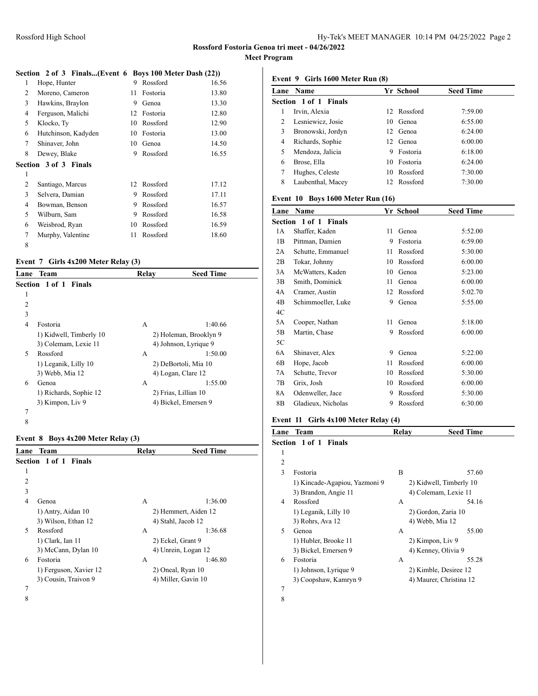# **Rossford Fostoria Genoa tri meet - 04/26/2022**

**Meet Program**

# **Section 2 of 3 Finals...(Event 6 Boys 100 Meter Dash (22))**<br>1 Hope, Hunter 9 Rossford 16.56 1 Hope, Hunter

| 2 | Moreno, Cameron              | 11 | Fostoria | 13.80 |
|---|------------------------------|----|----------|-------|
| 3 | Hawkins, Braylon             | 9  | Genoa    | 13.30 |
| 4 | Ferguson, Malichi            | 12 | Fostoria | 12.80 |
| 5 | Klocko, Ty                   | 10 | Rossford | 12.90 |
| 6 | Hutchinson, Kadyden          | 10 | Fostoria | 13.00 |
| 7 | Shinaver, John               | 10 | Genoa    | 14.50 |
| 8 | Dewey, Blake                 | 9  | Rossford | 16.55 |
|   | <b>Section 3 of 3 Finals</b> |    |          |       |
| 1 |                              |    |          |       |
| 2 | Santiago, Marcus             | 12 | Rossford | 17.12 |
| 3 | Selvera, Damian              | 9  | Rossford | 17.11 |
| 4 | Bowman, Benson               | 9  | Rossford | 16.57 |
| 5 | Wilburn, Sam                 | 9  | Rossford | 16.58 |
| 6 | Weisbrod, Ryan               | 10 | Rossford | 16.59 |
| 7 | Murphy, Valentine            | 11 | Rossford | 18.60 |
| 8 |                              |    |          |       |

# **Event 7 Girls 4x200 Meter Relay (3)**

| Lane | Team                         | Relav | <b>Seed Time</b>       |  |
|------|------------------------------|-------|------------------------|--|
|      | <b>Section 1 of 1 Finals</b> |       |                        |  |
| 1    |                              |       |                        |  |
| 2    |                              |       |                        |  |
| 3    |                              |       |                        |  |
| 4    | Fostoria                     | A     | 1:40.66                |  |
|      | 1) Kidwell, Timberly 10      |       | 2) Holeman, Brooklyn 9 |  |
|      | 3) Colemam, Lexie 11         |       | 4) Johnson, Lyrique 9  |  |
| 5    | Rossford                     | A     | 1:50.00                |  |
|      | 1) Leganik, Lilly 10         |       | 2) DeBortoli, Mia 10   |  |
|      | 3) Webb, Mia 12              |       | 4) Logan, Clare 12     |  |
| 6    | Genoa                        | А     | 1:55.00                |  |
|      | 1) Richards, Sophie 12       |       | 2) Frias, Lillian 10   |  |
|      | 3) Kimpon, Liv 9             |       | 4) Bickel, Emersen 9   |  |
| 7    |                              |       |                        |  |
| 8    |                              |       |                        |  |

# **Event 8 Boys 4x200 Meter Relay (3)**

| Lane | Team                   | Relay | <b>Seed Time</b>     |
|------|------------------------|-------|----------------------|
|      | Section 1 of 1 Finals  |       |                      |
| 1    |                        |       |                      |
| 2    |                        |       |                      |
| 3    |                        |       |                      |
| 4    | Genoa                  | A     | 1:36.00              |
|      | 1) Antry, Aidan 10     |       | 2) Hemmert, Aiden 12 |
|      | 3) Wilson, Ethan 12    |       | 4) Stahl, Jacob 12   |
| 5    | Rossford               | A     | 1:36.68              |
|      | 1) Clark, Ian 11       |       | 2) Eckel, Grant 9    |
|      | 3) McCann, Dylan 10    |       | 4) Unrein, Logan 12  |
| 6    | Fostoria               | A     | 1:46.80              |
|      | 1) Ferguson, Xavier 12 |       | 2) Oneal, Ryan 10    |
|      | 3) Cousin, Traivon 9   |       | 4) Miller, Gavin 10  |
| 7    |                        |       |                      |
| 8    |                        |       |                      |

#### **Event 9 Girls 1600 Meter Run (8)**

| Lane | <b>Name</b>           |    | Yr School   | <b>Seed Time</b> |
|------|-----------------------|----|-------------|------------------|
|      | Section 1 of 1 Finals |    |             |                  |
|      | Irvin, Alexia         |    | 12 Rossford | 7:59.00          |
|      | Lesniewicz, Josie     | 10 | Genoa       | 6:55.00          |
| 3    | Bronowski, Jordyn     |    | 12 Genoa    | 6:24.00          |
| 4    | Richards, Sophie      |    | 12 Genoa    | 6:00.00          |
| 5    | Mendoza, Jalicia      | 9  | Fostoria    | 6:18.00          |
| 6    | Brose, Ella           |    | 10 Fostoria | 6:24.00          |
|      | Hughes, Celeste       |    | 10 Rossford | 7:30.00          |
| 8    | Laubenthal, Macey     |    | 12 Rossford | 7:30.00          |
|      |                       |    |             |                  |

# **Event 10 Boys 1600 Meter Run (16)**

| Lane | Name                  |    | Yr School | <b>Seed Time</b> |
|------|-----------------------|----|-----------|------------------|
|      | Section 1 of 1 Finals |    |           |                  |
| 1 A  | Shaffer, Kaden        | 11 | Genoa     | 5:52.00          |
| 1B   | Pittman, Damien       | 9  | Fostoria  | 6:59.00          |
| 2A   | Schutte, Emmanuel     | 11 | Rossford  | 5:30.00          |
| 2B   | Tokar, Johnny         | 10 | Rossford  | 6:00.00          |
| 3A   | McWatters, Kaden      | 10 | Genoa     | 5:23.00          |
| 3B   | Smith, Dominick       | 11 | Genoa     | 6:00.00          |
| 4A   | Cramer, Austin        | 12 | Rossford  | 5:02.70          |
| 4B   | Schimmoeller, Luke    | 9  | Genoa     | 5:55.00          |
| 4C   |                       |    |           |                  |
| 5A   | Cooper, Nathan        | 11 | Genoa     | 5:18.00          |
| 5B   | Martin, Chase         | 9  | Rossford  | 6:00.00          |
| 5C   |                       |    |           |                  |
| 6A   | Shinaver, Alex        | 9  | Genoa     | 5:22.00          |
| 6B   | Hope, Jacob           | 11 | Rossford  | 6:00.00          |
| 7Α   | Schutte, Trevor       | 10 | Rossford  | 5:30.00          |
| 7B   | Grix, Josh            | 10 | Rossford  | 6:00.00          |
| 8A   | Odenweller, Jace      | 9  | Rossford  | 5:30.00          |
| 8Β   | Gladieux, Nicholas    | 9  | Rossford  | 6:30.00          |
|      |                       |    |           |                  |

# **Event 11 Girls 4x100 Meter Relay (4)**

| Lane         | <b>Team</b>                   | Relay | <b>Seed Time</b>        |  |
|--------------|-------------------------------|-------|-------------------------|--|
|              | <b>Section 1 of 1 Finals</b>  |       |                         |  |
| 1            |                               |       |                         |  |
| 2            |                               |       |                         |  |
| $\mathbf{3}$ | Fostoria                      | B     | 57.60                   |  |
|              | 1) Kincade-Agapiou, Yazmoni 9 |       | 2) Kidwell, Timberly 10 |  |
|              | 3) Brandon, Angie 11          |       | 4) Colemam, Lexie 11    |  |
| 4            | Rossford                      | А     | 54.16                   |  |
|              | 1) Leganik, Lilly 10          |       | 2) Gordon, Zaria 10     |  |
|              | 3) Rohrs, Ava 12              |       | 4) Webb, Mia 12         |  |
| 5            | Genoa                         | А     | 55.00                   |  |
|              | 1) Hubler, Brooke 11          |       | 2) Kimpon, Liv 9        |  |
|              | 3) Bickel, Emersen 9          |       | 4) Kenney, Olivia 9     |  |
| 6            | Fostoria                      | A     | 55.28                   |  |
|              | 1) Johnson, Lyrique 9         |       | 2) Kimble, Desiree 12   |  |
|              | 3) Coopshaw, Kamryn 9         |       | 4) Maurer, Christina 12 |  |
| 7            |                               |       |                         |  |

8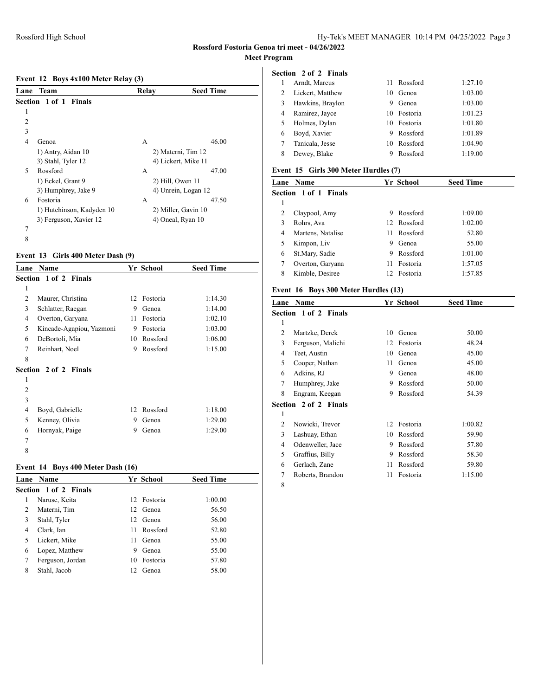#### **Event 12 Boys 4x100 Meter Relay (3)**

| Lane           | Team                      | Relay | <b>Seed Time</b>    |  |
|----------------|---------------------------|-------|---------------------|--|
|                | Section 1 of 1 Finals     |       |                     |  |
| 1              |                           |       |                     |  |
| $\overline{c}$ |                           |       |                     |  |
| 3              |                           |       |                     |  |
| 4              | Genoa                     | A     | 46.00               |  |
|                | 1) Antry, Aidan 10        |       | 2) Materni, Tim 12  |  |
|                | 3) Stahl, Tyler 12        |       | 4) Lickert, Mike 11 |  |
| 5              | Rossford                  | A     | 47.00               |  |
|                | 1) Eckel, Grant 9         |       | 2) Hill, Owen 11    |  |
|                | 3) Humphrey, Jake 9       |       | 4) Unrein, Logan 12 |  |
| 6              | Fostoria                  | А     | 47.50               |  |
|                | 1) Hutchinson, Kadyden 10 |       | 2) Miller, Gavin 10 |  |
|                | 3) Ferguson, Xavier 12    |       | 4) Oneal, Ryan 10   |  |
| 7              |                           |       |                     |  |
| 8              |                           |       |                     |  |

#### **Event 13 Girls 400 Meter Dash (9)**

| Lane           | Name                         |    | Yr School | <b>Seed Time</b> |  |
|----------------|------------------------------|----|-----------|------------------|--|
|                | <b>Section 1 of 2 Finals</b> |    |           |                  |  |
| 1              |                              |    |           |                  |  |
| $\overline{c}$ | Maurer, Christina            | 12 | Fostoria  | 1:14.30          |  |
| 3              | Schlatter, Raegan            | 9  | Genoa     | 1:14.00          |  |
| 4              | Overton, Garyana             | 11 | Fostoria  | 1:02.10          |  |
| 5              | Kincade-Agapiou, Yazmoni     | 9  | Fostoria  | 1:03.00          |  |
| 6              | DeBortoli, Mia               | 10 | Rossford  | 1:06.00          |  |
| 7              | Reinhart, Noel               | 9  | Rossford  | 1:15.00          |  |
| 8              |                              |    |           |                  |  |
|                | Section 2 of 2 Finals        |    |           |                  |  |
| 1              |                              |    |           |                  |  |
| 2              |                              |    |           |                  |  |
| 3              |                              |    |           |                  |  |
| 4              | Boyd, Gabrielle              | 12 | Rossford  | 1:18.00          |  |
| 5              | Kenney, Olivia               | 9  | Genoa     | 1:29.00          |  |
| 6              | Hornyak, Paige               | 9  | Genoa     | 1:29.00          |  |
| 7              |                              |    |           |                  |  |
| 8              |                              |    |           |                  |  |

### **Event 14 Boys 400 Meter Dash (16)**

|   | <b>Lane Name</b>      |     | Yr School   | <b>Seed Time</b> |
|---|-----------------------|-----|-------------|------------------|
|   | Section 1 of 2 Finals |     |             |                  |
|   | Naruse, Keita         |     | 12 Fostoria | 1:00.00          |
| 2 | Materni, Tim          |     | 12 Genoa    | 56.50            |
| 3 | Stahl, Tyler          |     | 12 Genoa    | 56.00            |
| 4 | Clark, Ian            | 11. | Rossford    | 52.80            |
|   | Lickert, Mike         | 11  | Genoa       | 55.00            |
| 6 | Lopez, Matthew        | 9   | Genoa       | 55.00            |
|   | Ferguson, Jordan      | 10  | Fostoria    | 57.80            |
| 8 | Stahl, Jacob          | 12  | Genoa       | 58.00            |
|   |                       |     |             |                  |

# **Section 2 of 2 Finals**

|   | Arndt, Marcus    |    | 11 Rossford | 1:27.10 |
|---|------------------|----|-------------|---------|
|   | Lickert, Matthew | 10 | Genoa       | 1:03.00 |
| 3 | Hawkins, Braylon | 9  | Genoa       | 1:03.00 |
| 4 | Ramirez, Jayce   |    | 10 Fostoria | 1:01.23 |
|   | Holmes, Dylan    |    | 10 Fostoria | 1:01.80 |
| 6 | Boyd, Xavier     |    | 9 Rossford  | 1:01.89 |
|   | Tanicala, Jesse  | 10 | Rossford    | 1:04.90 |
| 8 | Dewey, Blake     | 9  | Rossford    | 1:19.00 |

### **Event 15 Girls 300 Meter Hurdles (7)**

|   | <b>Lane Name</b>      |     | Yr School   | <b>Seed Time</b> |
|---|-----------------------|-----|-------------|------------------|
|   | Section 1 of 1 Finals |     |             |                  |
| 1 |                       |     |             |                  |
|   | Claypool, Amy         | 9   | Rossford    | 1:09.00          |
| 3 | Rohrs, Ava            |     | 12 Rossford | 1:02.00          |
| 4 | Martens, Natalise     | 11. | Rossford    | 52.80            |
|   | Kimpon, Liv           | 9   | Genoa       | 55.00            |
| 6 | St.Mary, Sadie        | 9   | Rossford    | 1:01.00          |
|   | Overton, Garyana      | 11  | Fostoria    | 1:57.05          |
| 8 | Kimble, Desiree       |     | 12 Fostoria | 1:57.85          |
|   |                       |     |             |                  |

### **Event 16 Boys 300 Meter Hurdles (13)**

| Lane | Name                         |    | Yr School | <b>Seed Time</b> |
|------|------------------------------|----|-----------|------------------|
|      | <b>Section 1 of 2 Finals</b> |    |           |                  |
| 1    |                              |    |           |                  |
| 2    | Martzke, Derek               | 10 | Genoa     | 50.00            |
| 3    | Ferguson, Malichi            | 12 | Fostoria  | 48.24            |
| 4    | Teet, Austin                 | 10 | Genoa     | 45.00            |
| 5    | Cooper, Nathan               | 11 | Genoa     | 45.00            |
| 6    | Adkins, RJ                   | 9  | Genoa     | 48.00            |
| 7    | Humphrey, Jake               | 9  | Rossford  | 50.00            |
| 8    | Engram, Keegan               | 9  | Rossford  | 54.39            |
|      | <b>Section 2 of 2 Finals</b> |    |           |                  |
| 1    |                              |    |           |                  |
| 2    | Nowicki, Trevor              | 12 | Fostoria  | 1:00.82          |
| 3    | Lashuay, Ethan               | 10 | Rossford  | 59.90            |
| 4    | Odenweller, Jace             | 9  | Rossford  | 57.80            |
| 5    | Graffius, Billy              | 9  | Rossford  | 58.30            |
| 6    | Gerlach, Zane                | 11 | Rossford  | 59.80            |
| 7    | Roberts, Brandon             | 11 | Fostoria  | 1:15.00          |
| 8    |                              |    |           |                  |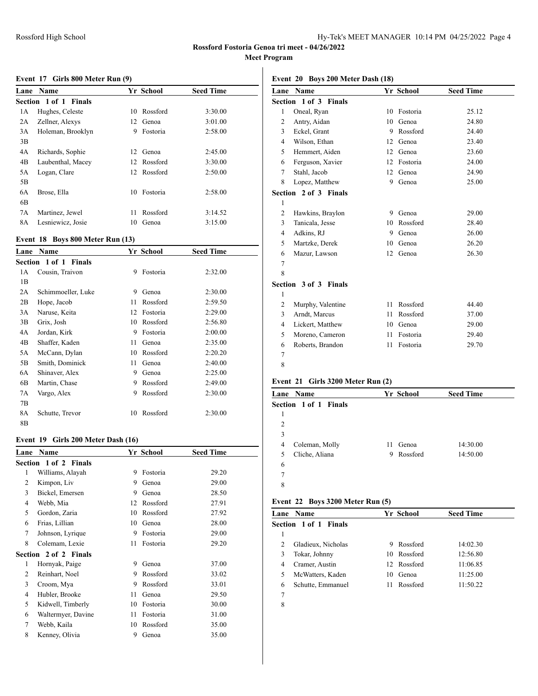# **Rossford Fostoria Genoa tri meet - 04/26/2022**

**Meet Program**

#### **Event 17 Girls 800 Meter Run (9)**

| Lane | <b>Name</b>                  |    | Yr School   | <b>Seed Time</b> |  |
|------|------------------------------|----|-------------|------------------|--|
|      | <b>Section 1 of 1 Finals</b> |    |             |                  |  |
| 1А   | Hughes, Celeste              | 10 | Rossford    | 3:30.00          |  |
| 2A   | Zellner, Alexys              | 12 | Genoa       | 3:01.00          |  |
| 3A   | Holeman, Brooklyn            | 9  | Fostoria    | 2:58.00          |  |
| 3B   |                              |    |             |                  |  |
| 4A   | Richards, Sophie             | 12 | Genoa       | 2:45.00          |  |
| 4B   | Laubenthal, Macey            |    | 12 Rossford | 3:30.00          |  |
| 5A   | Logan, Clare                 |    | 12 Rossford | 2:50.00          |  |
| 5Β   |                              |    |             |                  |  |
| 6A   | Brose, Ella                  | 10 | Fostoria    | 2:58.00          |  |
| 6B   |                              |    |             |                  |  |
| 7Α   | Martinez, Jewel              | 11 | Rossford    | 3:14.52          |  |
| 8A   | Lesniewicz, Josie            | 10 | Genoa       | 3:15.00          |  |

#### **Event 18 Boys 800 Meter Run (13)**

| Lane | <b>Name</b>           |    | Yr School | <b>Seed Time</b> |
|------|-----------------------|----|-----------|------------------|
|      | Section 1 of 1 Finals |    |           |                  |
| 1А   | Cousin, Traivon       | 9  | Fostoria  | 2:32.00          |
| 1B   |                       |    |           |                  |
| 2A   | Schimmoeller, Luke    | 9  | Genoa     | 2:30.00          |
| 2B   | Hope, Jacob           | 11 | Rossford  | 2:59.50          |
| 3A   | Naruse, Keita         | 12 | Fostoria  | 2:29.00          |
| 3B   | Grix, Josh            | 10 | Rossford  | 2:56.80          |
| 4Α   | Jordan, Kirk          | 9  | Fostoria  | 2:00.00          |
| 4B   | Shaffer, Kaden        | 11 | Genoa     | 2:35.00          |
| 5A   | McCann, Dylan         | 10 | Rossford  | 2:20.20          |
| 5B   | Smith, Dominick       | 11 | Genoa     | 2:40.00          |
| 6A   | Shinaver, Alex        | 9  | Genoa     | 2:25.00          |
| 6B   | Martin, Chase         | 9  | Rossford  | 2:49.00          |
| 7A   | Vargo, Alex           | 9  | Rossford  | 2:30.00          |
| 7В   |                       |    |           |                  |
| 8A   | Schutte, Trevor       | 10 | Rossford  | 2:30.00          |
| 8B   |                       |    |           |                  |

#### **Event 19 Girls 200 Meter Dash (16)**

| Lane           | Name                  |    | Yr School | <b>Seed Time</b> |
|----------------|-----------------------|----|-----------|------------------|
|                | Section 1 of 2 Finals |    |           |                  |
| 1              | Williams, Alayah      | 9  | Fostoria  | 29.20            |
| $\overline{c}$ | Kimpon, Liv           | 9  | Genoa     | 29.00            |
| 3              | Bickel, Emersen       | 9  | Genoa     | 28.50            |
| 4              | Webb, Mia             | 12 | Rossford  | 27.91            |
| 5              | Gordon, Zaria         | 10 | Rossford  | 27.92            |
| 6              | Frias, Lillian        | 10 | Genoa     | 28.00            |
| 7              | Johnson, Lyrique      | 9  | Fostoria  | 29.00            |
| 8              | Colemam, Lexie        | 11 | Fostoria  | 29.20            |
|                | Section 2 of 2 Finals |    |           |                  |
| 1              | Hornyak, Paige        | 9  | Genoa     | 37.00            |
| 2              | Reinhart, Noel        | 9  | Rossford  | 33.02            |
| 3              | Croom, Mya            | 9  | Rossford  | 33.01            |
| 4              | Hubler, Brooke        | 11 | Genoa     | 29.50            |
| 5              | Kidwell, Timberly     | 10 | Fostoria  | 30.00            |
| 6              | Waltermyer, Davine    | 11 | Fostoria  | 31.00            |
| 7              | Webb, Kaila           | 10 | Rossford  | 35.00            |
| 8              | Kenney, Olivia        | 9  | Genoa     | 35.00            |

| Event 20 Boys 200 Meter Dash (18) |  |  |  |  |  |  |
|-----------------------------------|--|--|--|--|--|--|
|-----------------------------------|--|--|--|--|--|--|

|                | Lane Name             |    | Yr School | <b>Seed Time</b> |
|----------------|-----------------------|----|-----------|------------------|
|                | Section 1 of 3 Finals |    |           |                  |
| $\mathbf{1}$   | Oneal, Ryan           | 10 | Fostoria  | 25.12            |
| 2              | Antry, Aidan          | 10 | Genoa     | 24.80            |
| 3              | Eckel, Grant          | 9  | Rossford  | 24.40            |
| $\overline{4}$ | Wilson, Ethan         | 12 | Genoa     | 23.40            |
| 5              | Hemmert, Aiden        | 12 | Genoa     | 23.60            |
| 6              | Ferguson, Xavier      | 12 | Fostoria  | 24.00            |
| 7              | Stahl, Jacob          | 12 | Genoa     | 24.90            |
| 8              | Lopez, Matthew        | 9  | Genoa     | 25.00            |
|                | Section 2 of 3 Finals |    |           |                  |
| 1              |                       |    |           |                  |
| 2              | Hawkins, Braylon      | 9  | Genoa     | 29.00            |
| 3              | Tanicala, Jesse       | 10 | Rossford  | 28.40            |
| $\overline{4}$ | Adkins, RJ            | 9  | Genoa     | 26.00            |
| 5              | Martzke, Derek        | 10 | Genoa     | 26.20            |
| 6              | Mazur, Lawson         | 12 | Genoa     | 26.30            |
| 7              |                       |    |           |                  |
| 8              |                       |    |           |                  |
|                | Section 3 of 3 Finals |    |           |                  |
| 1              |                       |    |           |                  |
| 2              | Murphy, Valentine     | 11 | Rossford  | 44.40            |
| 3              | Arndt, Marcus         | 11 | Rossford  | 37.00            |
| $\overline{4}$ | Lickert, Matthew      | 10 | Genoa     | 29.00            |
| 5              | Moreno, Cameron       | 11 | Fostoria  | 29.40            |
| 6              | Roberts, Brandon      | 11 | Fostoria  | 29.70            |
| 7              |                       |    |           |                  |
| 8              |                       |    |           |                  |

# **Event 21 Girls 3200 Meter Run (2)**

|                              | Lane Name      |    | Yr School | <b>Seed Time</b> |  |  |  |
|------------------------------|----------------|----|-----------|------------------|--|--|--|
| <b>Section 1 of 1 Finals</b> |                |    |           |                  |  |  |  |
| 1                            |                |    |           |                  |  |  |  |
| 2                            |                |    |           |                  |  |  |  |
| 3                            |                |    |           |                  |  |  |  |
| 4                            | Coleman, Molly | 11 | Genoa     | 14:30.00         |  |  |  |
| 5                            | Cliche, Aliana | 9  | Rossford  | 14:50.00         |  |  |  |
| 6                            |                |    |           |                  |  |  |  |
| 7                            |                |    |           |                  |  |  |  |
| 8                            |                |    |           |                  |  |  |  |

# **Event 22 Boys 3200 Meter Run (5)**

|                | <b>Lane Name</b>      |    | Yr School   | <b>Seed Time</b> |
|----------------|-----------------------|----|-------------|------------------|
|                | Section 1 of 1 Finals |    |             |                  |
|                |                       |    |             |                  |
| $\mathfrak{D}$ | Gladieux, Nicholas    | 9  | Rossford    | 14:02.30         |
| 3              | Tokar, Johnny         |    | 10 Rossford | 12:56.80         |
| 4              | Cramer, Austin        |    | 12 Rossford | 11:06.85         |
| 5              | McWatters, Kaden      | 10 | Genoa       | 11:25.00         |
| 6              | Schutte, Emmanuel     | 11 | Rossford    | 11:50.22         |
| 7              |                       |    |             |                  |
| 8              |                       |    |             |                  |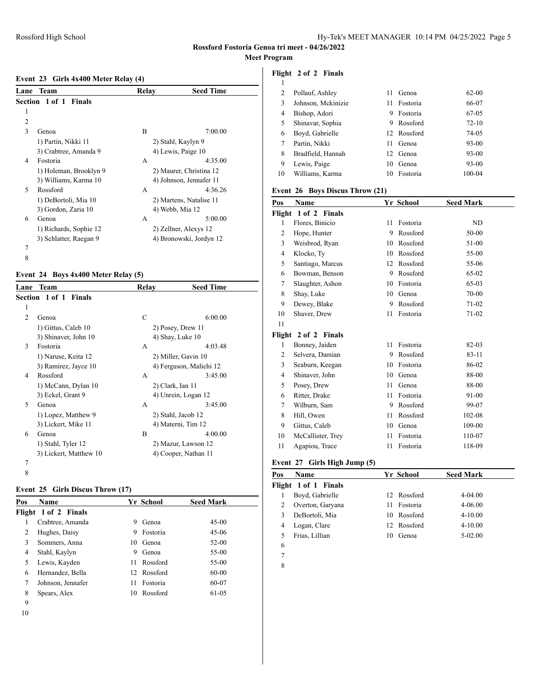#### **Event 23 Girls 4x400 Meter Relay (4)**

| Lane                     | Team                   | Relav | <b>Seed Time</b>        |  |
|--------------------------|------------------------|-------|-------------------------|--|
|                          | Section 1 of 1 Finals  |       |                         |  |
| 1                        |                        |       |                         |  |
| 2                        |                        |       |                         |  |
| 3                        | Genoa                  | B     | 7:00.00                 |  |
|                          | 1) Partin, Nikki 11    |       | 2) Stahl, Kaylyn 9      |  |
|                          | 3) Crabtree, Amanda 9  |       | 4) Lewis, Paige 10      |  |
| 4                        | Fostoria               | A     | 4:35.00                 |  |
|                          | 1) Holeman, Brooklyn 9 |       | 2) Maurer, Christina 12 |  |
|                          | 3) Williams, Karma 10  |       | 4) Johnson, Jennafer 11 |  |
| $\overline{\phantom{0}}$ | Rossford               | A     | 4:36.26                 |  |
|                          | 1) DeBortoli, Mia 10   |       | 2) Martens, Natalise 11 |  |
|                          | 3) Gordon, Zaria 10    |       | 4) Webb, Mia 12         |  |
| 6                        | Genoa                  | А     | 5:00.00                 |  |
|                          | 1) Richards, Sophie 12 |       | 2) Zellner, Alexys 12   |  |
|                          | 3) Schlatter, Raegan 9 |       | 4) Bronowski, Jordyn 12 |  |
| 7                        |                        |       |                         |  |
| 8                        |                        |       |                         |  |

### **Event 24 Boys 4x400 Meter Relay (5)**

| Lane           | <b>Team</b>                  | Relay        | <b>Seed Time</b>        |
|----------------|------------------------------|--------------|-------------------------|
|                | <b>Section 1 of 1 Finals</b> |              |                         |
| 1              |                              |              |                         |
| $\overline{c}$ | Genoa                        | $\mathsf{C}$ | 6:00.00                 |
|                | 1) Gittus, Caleb 10          |              | 2) Posey, Drew 11       |
|                | 3) Shinaver, John 10         |              | 4) Shay, Luke 10        |
| 3              | Fostoria                     | A            | 4:03.48                 |
|                | 1) Naruse, Keita 12          |              | 2) Miller, Gavin 10     |
|                | 3) Ramirez, Jayce 10         |              | 4) Ferguson, Malichi 12 |
| 4              | Rossford                     | A            | 3:45.00                 |
|                | 1) McCann, Dylan 10          |              | 2) Clark, Ian 11        |
|                | 3) Eckel, Grant 9            |              | 4) Unrein, Logan 12     |
| 5              | Genoa                        | A            | 3:45.00                 |
|                | 1) Lopez, Matthew 9          |              | 2) Stahl, Jacob 12      |
|                | 3) Lickert, Mike 11          |              | 4) Materni, Tim 12      |
| 6              | Genoa                        | B            | 4:00.00                 |
|                | 1) Stahl, Tyler 12           |              | 2) Mazur, Lawson 12     |
|                | 3) Lickert, Matthew 10       |              | 4) Cooper, Nathan 11    |
| 7              |                              |              |                         |
| 8              |                              |              |                         |

#### **Event 25 Girls Discus Throw (17)**

| Pos | <b>Name</b>          |    | Yr School   | <b>Seed Mark</b> |
|-----|----------------------|----|-------------|------------------|
|     | Flight 1 of 2 Finals |    |             |                  |
|     | Crabtree, Amanda     | 9  | Genoa       | $45-00$          |
| 2   | Hughes, Daisy        | 9  | Fostoria    | 45-06            |
| 3   | Sommers, Anna        | 10 | Genoa       | $52 - 00$        |
| 4   | Stahl, Kaylyn        | 9  | Genoa       | 55-00            |
| 5   | Lewis, Kayden        | 11 | Rossford    | 55-00            |
| 6   | Hernandez, Bella     |    | 12 Rossford | 60-00            |
| 7   | Johnson, Jennafer    | 11 | Fostoria    | 60-07            |
| 8   | Spears, Alex         | 10 | Rossford    | 61-05            |
| 9   |                      |    |             |                  |
|     |                      |    |             |                  |

#### **Flight 2 of 2 Finals**

| 2  | Pollauf, Ashley    | 11 | Genoa       | 62-00     |
|----|--------------------|----|-------------|-----------|
| 3  | Johnson, Mckinizie | 11 | Fostoria    | 66-07     |
| 4  | Bishop, Adori      | 9  | Fostoria    | 67-05     |
| 5  | Shinavar, Sophia   | 9  | Rossford    | $72 - 10$ |
| 6  | Boyd, Gabrielle    |    | 12 Rossford | 74-05     |
|    | Partin, Nikki      | 11 | Genoa       | 93-00     |
| 8  | Bradfield, Hannah  |    | 12. Genoa   | 93-00     |
| 9  | Lewis, Paige       | 10 | Genoa       | 93-00     |
| 10 | Williams, Karma    | 10 | Fostoria    | 100-04    |

### **Event 26 Boys Discus Throw (21)**

| Name                    |    |          | <b>Seed Mark</b> |
|-------------------------|----|----------|------------------|
| 1 of 2 Finals<br>Flight |    |          |                  |
| Flores, Binicio         | 11 | Fostoria | ND               |
| Hope, Hunter            | 9  | Rossford | 50-00            |
| Weisbrod, Ryan          | 10 | Rossford | 51-00            |
| Klocko, Ty              | 10 | Rossford | 55-00            |
| Santiago, Marcus        | 12 | Rossford | 55-06            |
| Bowman, Benson          | 9  | Rossford | 65-02            |
| Slaughter, Ashon        | 10 | Fostoria | 65-03            |
| Shay, Luke              | 10 | Genoa    | 70-00            |
| Dewey, Blake            | 9  | Rossford | $71-02$          |
| Shaver, Drew            | 11 | Fostoria | $71-02$          |
|                         |    |          |                  |
| 2 of 2 Finals<br>Flight |    |          |                  |
| Bonney, Jaiden          | 11 | Fostoria | 82-03            |
| Selvera, Damian         | 9  | Rossford | $83 - 11$        |
| Seaburn, Keegan         | 10 | Fostoria | 86-02            |
| Shinaver, John          | 10 | Genoa    | 88-00            |
| Posey, Drew             | 11 | Genoa    | 88-00            |
| Ritter, Drake           | 11 | Fostoria | 91-00            |
| Wilburn, Sam            | 9  | Rossford | 99-07            |
| Hill, Owen              | 11 | Rossford | 102-08           |
| Gittus, Caleb           | 10 | Genoa    | 109-00           |
| McCallister, Trey       | 11 | Fostoria | 110-07           |
| Agapiou, Trace          | 11 | Fostoria | 118-09           |
|                         |    |          | Yr School        |

#### **Event 27 Girls High Jump (5)**

| Pos | <b>Name</b>          | Yr School      | <b>Seed Mark</b> |
|-----|----------------------|----------------|------------------|
|     | Flight 1 of 1 Finals |                |                  |
|     | Boyd, Gabrielle      | 12 Rossford    | $4 - 04.00$      |
|     | Overton, Garyana     | Fostoria<br>11 | $4 - 06.00$      |
|     | DeBortoli, Mia       | 10 Rossford    | $4 - 10.00$      |
|     | Logan, Clare         | 12 Rossford    | $4 - 10.00$      |
|     | Frias, Lillian       | Genoa<br>10    | $5-02.00$        |
| 6   |                      |                |                  |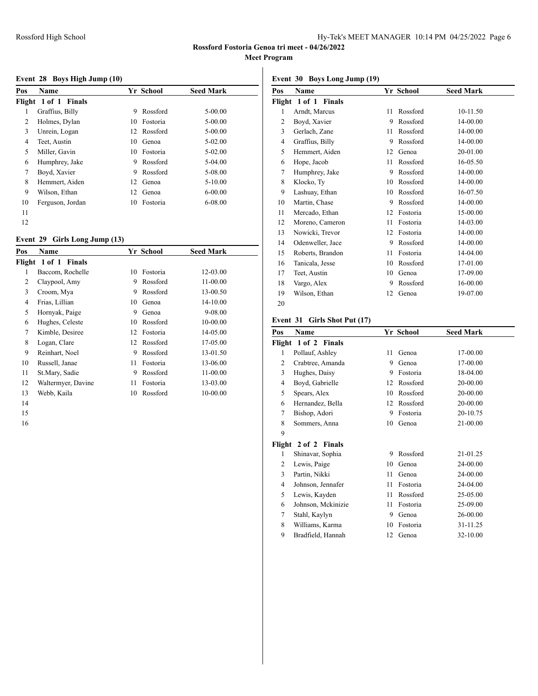#### **Event 28 Boys High Jump (10)**

| Pos | Name                 |    | Yr School | <b>Seed Mark</b> |
|-----|----------------------|----|-----------|------------------|
|     | Flight 1 of 1 Finals |    |           |                  |
| 1   | Graffius, Billy      | 9  | Rossford  | $5 - 00.00$      |
| 2   | Holmes, Dylan        | 10 | Fostoria  | $5 - 00.00$      |
| 3   | Unrein, Logan        | 12 | Rossford  | $5 - 00.00$      |
| 4   | Teet, Austin         | 10 | Genoa     | $5-02.00$        |
| 5   | Miller, Gavin        | 10 | Fostoria  | $5 - 02.00$      |
| 6   | Humphrey, Jake       | 9  | Rossford  | $5-04.00$        |
| 7   | Boyd, Xavier         | 9  | Rossford  | 5-08.00          |
| 8   | Hemmert, Aiden       | 12 | Genoa     | $5 - 10.00$      |
| 9   | Wilson, Ethan        | 12 | Genoa     | $6 - 00.00$      |
| 10  | Ferguson, Jordan     | 10 | Fostoria  | $6 - 08.00$      |
| 11  |                      |    |           |                  |
| 12  |                      |    |           |                  |

### **Event 29 Girls Long Jump (13)**

| Pos | Name                 |    | Yr School | <b>Seed Mark</b> |  |
|-----|----------------------|----|-----------|------------------|--|
|     | Flight 1 of 1 Finals |    |           |                  |  |
| 1   | Baccom, Rochelle     | 10 | Fostoria  | 12-03.00         |  |
| 2   | Claypool, Amy        | 9  | Rossford  | 11-00.00         |  |
| 3   | Croom, Mya           | 9  | Rossford  | 13-00.50         |  |
| 4   | Frias, Lillian       | 10 | Genoa     | 14-10.00         |  |
| 5   | Hornyak, Paige       | 9  | Genoa     | 9-08.00          |  |
| 6   | Hughes, Celeste      | 10 | Rossford  | 10-00.00         |  |
| 7   | Kimble, Desiree      | 12 | Fostoria  | 14-05.00         |  |
| 8   | Logan, Clare         | 12 | Rossford  | 17-05.00         |  |
| 9   | Reinhart, Noel       | 9  | Rossford  | 13-01.50         |  |
| 10  | Russell, Janae       | 11 | Fostoria  | 13-06.00         |  |
| 11  | St.Mary, Sadie       | 9  | Rossford  | $11 - 00.00$     |  |
| 12  | Waltermyer, Davine   | 11 | Fostoria  | 13-03.00         |  |
| 13  | Webb, Kaila          | 10 | Rossford  | 10-00.00         |  |
|     |                      |    |           |                  |  |

- 
- 

#### **Event 30 Boys Long Jump (19)**

| Pos    | Name             |    | Yr School | <b>Seed Mark</b> |
|--------|------------------|----|-----------|------------------|
| Flight | 1 of 1 Finals    |    |           |                  |
| 1      | Arndt, Marcus    | 11 | Rossford  | 10-11.50         |
| 2      | Boyd, Xavier     | 9  | Rossford  | 14-00.00         |
| 3      | Gerlach, Zane    | 11 | Rossford  | 14-00.00         |
| 4      | Graffius, Billy  | 9  | Rossford  | 14-00.00         |
| 5      | Hemmert, Aiden   | 12 | Genoa     | 20-01.00         |
| 6      | Hope, Jacob      | 11 | Rossford  | 16-05.50         |
| 7      | Humphrey, Jake   | 9  | Rossford  | 14-00.00         |
| 8      | Klocko, Ty       | 10 | Rossford  | 14-00.00         |
| 9      | Lashuay, Ethan   | 10 | Rossford  | 16-07.50         |
| 10     | Martin, Chase    | 9  | Rossford  | 14-00.00         |
| 11     | Mercado, Ethan   | 12 | Fostoria  | 15-00.00         |
| 12     | Moreno, Cameron  | 11 | Fostoria  | 14-03.00         |
| 13     | Nowicki, Trevor  | 12 | Fostoria  | 14-00.00         |
| 14     | Odenweller, Jace | 9  | Rossford  | 14-00.00         |
| 15     | Roberts, Brandon | 11 | Fostoria  | 14-04.00         |
| 16     | Tanicala, Jesse  | 10 | Rossford  | 17-01.00         |
| 17     | Teet, Austin     | 10 | Genoa     | 17-09.00         |
| 18     | Vargo, Alex      | 9  | Rossford  | 16-00.00         |
| 19     | Wilson, Ethan    | 12 | Genoa     | 19-07.00         |
| 20     |                  |    |           |                  |

### **Event 31 Girls Shot Put (17)**

| Pos            | Name                 |    | Yr School | <b>Seed Mark</b> |
|----------------|----------------------|----|-----------|------------------|
|                | Flight 1 of 2 Finals |    |           |                  |
| 1              | Pollauf, Ashley      | 11 | Genoa     | 17-00.00         |
| $\overline{2}$ | Crabtree, Amanda     | 9  | Genoa     | 17-00.00         |
| 3              | Hughes, Daisy        | 9  | Fostoria  | 18-04.00         |
| $\overline{4}$ | Boyd, Gabrielle      | 12 | Rossford  | 20-00.00         |
| 5              | Spears, Alex         | 10 | Rossford  | 20-00.00         |
| 6              | Hernandez, Bella     | 12 | Rossford  | 20-00.00         |
| 7              | Bishop, Adori        | 9  | Fostoria  | 20-10.75         |
| 8              | Sommers, Anna        | 10 | Genoa     | 21-00.00         |
| 9              |                      |    |           |                  |
|                | Flight 2 of 2 Finals |    |           |                  |
| 1              | Shinavar, Sophia     | 9  | Rossford  | 21-01.25         |
| $\overline{2}$ | Lewis, Paige         | 10 | Genoa     | 24-00.00         |
| 3              | Partin, Nikki        | 11 | Genoa     | 24-00.00         |
| $\overline{4}$ | Johnson, Jennafer    | 11 | Fostoria  | 24-04.00         |
| 5              | Lewis, Kayden        | 11 | Rossford  | 25-05.00         |
| 6              | Johnson, Mckinizie   | 11 | Fostoria  | 25-09.00         |
| 7              | Stahl, Kaylyn        | 9  | Genoa     | 26-00.00         |
| 8              | Williams, Karma      | 10 | Fostoria  | 31-11.25         |
| 9              | Bradfield, Hannah    | 12 | Genoa     | 32-10.00         |